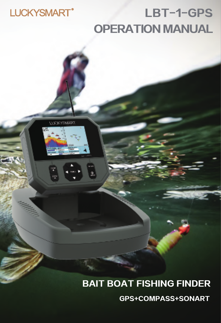## LUCKYSMART<sup>®</sup>

**UXXYEMMET** 

٠,

 $\frac{1}{2}$ 

## OPERATION MANUAL LBT-1-GPS

## BAIT BOAT FISHING FINDER GPS+COMPASS+SONART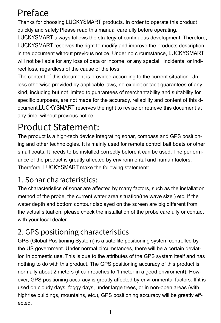## Preface

Thanks for choosing LUCKYSMART products. In order to operate this product quickly and safely,Please read this manual carefully before operating.

LUCKYSMART always follows the strategy of continuous development. Therefore, LUCKYSMART reserves the right to modify and improve the products description in the document without previous notice. Under no circumstance, LUCKYSMART will not be liable for any loss of data or income, or any special, incidental or indirect loss, regardless of the cause of the loss.

The content of this document is provided according to the current situation. Unless otherwise provided by applicable laws, no explicit or tacit guarantees of any kind, including but not limited to guarantees of merchantability and suitability for specific purposes, are not made for the accuracy, reliability and content of this document.LUCKYSMART reserves the right to revise or retrieve this document at any time without previous notice.

## Product Statement:

The product is a high-tech device integrating sonar, compass and GPS positioning and other technologies. It is mainly used for remote control bait boats or other small boats. It needs to be installed correctly before it can be used. The performance of the product is greatly affected by environmental and human factors. Therefore, LUCKYSMART make the following statement:

## 1. Sonar characteristics:

The characteristics of sonar are affected by many factors, such as the installation method of the probe, the current water area situation(the wave size ) etc. If the water depth and bottom contour displayed on the screen are big different from the actual situation, please check the installation of the probe carefully or contact with your local dealer.

## 2. GPS positioning characteristics

GPS (Global Positioning System) is a satellite positioning system controlled by the US government. Under normal circumstances, there will be a certain deviation in domestic use. This is due to the attributes of the GPS system itself and has nothing to do with this product. The GPS positioning accuracy of this product is normally about 2 meters (it can reaches to 1 meter in a good enviroment). However, GPS positioning accuracy is greatly affected by environmental factors. If it is used on cloudy days, foggy days, under large trees, or in non-open areas (with highrise buildings, mountains, etc.), GPS positioning accuracy will be greatly effected.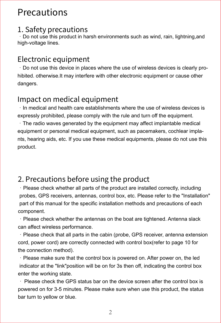## **Precautions**

#### 1. Safety precautions

·Do not use this product in harsh environments such as wind, rain, lightning,and high-voltage lines.

### Electronic equipment

·Do not use this device in places where the use of wireless devices is clearly prohibited. otherwise.It may interfere with other electronic equipment or cause other dangers.

## Impact on medical equipment

·In medical and health care establishments where the use of wireless devices is expressly prohibited, please comply with the rule and turn off the equipment.

·The radio waves generated by the equipment may affect implantable medical equipment or personal medical equipment, such as pacemakers, cochlear implants, hearing aids, etc. If you use these medical equipments, please do not use this product.

## 2. Precautions before using the product

·Please check whether all parts of the product are installed correctly, including probes, GPS receivers, antennas, control box, etc. Please refer to the "Installation" part of this manual for the specific installation methods and precautions of each component.

·Please check whether the antennas on the boat are tightened. Antenna slack can affect wireless performance.

·Please check that all parts in the cabin (probe, GPS receiver, antenna extension cord, power cord) are correctly connected with control box(refer to page 10 for the connection method).

·Please make sure that the control box is powered on. After power on, the led indicator at the "link"position will be on for 3s then off, indicating the control box enter the working state.

· Please check the GPS status bar on the device screen after the control box is powered on for 3-5 minutes. Please make sure when use this product, the status bar turn to yellow or blue.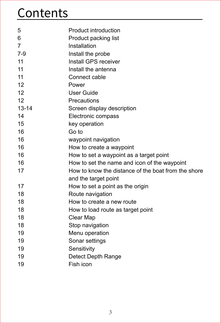## **Contents**

| 5         | <b>Product introduction</b>                         |
|-----------|-----------------------------------------------------|
| 6         | Product packing list                                |
| 7         | Installation                                        |
| 7-9       | Install the probe                                   |
| 11        | Install GPS receiver                                |
| 11        | Install the antenna                                 |
| 11        | Connect cable                                       |
| 12        | Power                                               |
| 12        | User Guide                                          |
| 12        | Precautions                                         |
| $13 - 14$ | Screen display description                          |
| 14        | Electronic compass                                  |
| 15        | key operation                                       |
| 16        | Go to                                               |
| 16        | waypoint navigation                                 |
| 16        | How to create a waypoint                            |
| 16        | How to set a waypoint as a target point             |
| 16        | How to set the name and icon of the waypoint        |
| 17        | How to know the distance of the boat from the shore |
|           | and the target point                                |
| 17        | How to set a point as the origin                    |
| 18        | Route navigation                                    |
| 18        | How to create a new route                           |
| 18        | How to load route as target point                   |
| 18        | Clear Map                                           |
| 18        | Stop navigation                                     |
| 19        | Menu operation                                      |
| 19        | Sonar settings                                      |
| 19        | Sensitivity                                         |
| 19        | Detect Depth Range                                  |
| 19        | Fish icon                                           |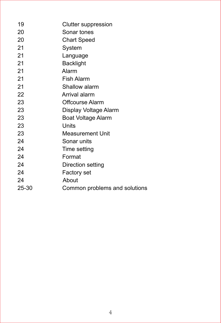| 19    | Clutter suppression           |
|-------|-------------------------------|
| 20    | Sonar tones                   |
| 20    | <b>Chart Speed</b>            |
| 21    | System                        |
| 21    | Language                      |
| 21    | Backlight                     |
| 21    | Alarm                         |
| 21    | <b>Fish Alarm</b>             |
| 21    | Shallow alarm                 |
| 22    | Arrival alarm                 |
| 23    | Offcourse Alarm               |
| 23    | Display Voltage Alarm         |
| 23    | <b>Boat Voltage Alarm</b>     |
| 23    | Units                         |
| 23    | Measurement Unit              |
| 24    | Sonar units                   |
| 24    | Time setting                  |
| 24    | Format                        |
| 24    | Direction setting             |
| 24    | Factory set                   |
| 24    | About                         |
| 25-30 | Common problems and solutions |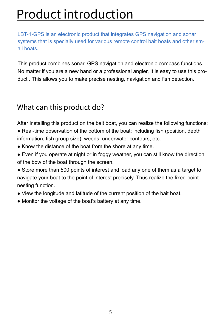## Product introduction

LBT-1-GPS is an electronic product that integrates GPS navigation and sonar systems that is specially used for various remote control bait boats and other small boats.

This product combines sonar, GPS navigation and electronic compass functions. No matter if you are a new hand or a professional angler, It is easy to use this product . This allows you to make precise nesting, navigation and fish detection.

## What can this product do?

After installing this product on the bait boat, you can realize the following functions:

- Real-time observation of the bottom of the boat: including fish (position, depth information, fish group size). weeds, underwater contours, etc.
- Know the distance of the boat from the shore at any time.
- Even if you operate at night or in foggy weather, you can still know the direction of the bow of the boat through the screen.
- Store more than 500 points of interest and load any one of them as a target to navigate your boat to the point of interest precisely. Thus realize the fixed-point nesting function.
- View the longitude and latitude of the current position of the bait boat.
- Monitor the voltage of the boat's battery at any time.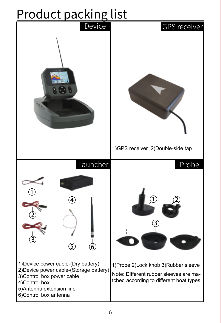# **Product packing list**

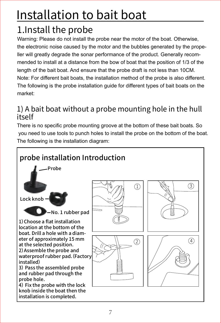## Installation to bait boat

## 1.Install the probe

Warning: Please do not install the probe near the motor of the boat. Otherwise, the electronic noise caused by the motor and the bubbles generated by the propeller will greatly degrade the sonar performance of the product. Generally recommended to install at a distance from the bow of boat that the position of 1/3 of the length of the bait boat. And ensure that the probe draft is not less than 10CM. Note: For different bait boats, the installation method of the probe is also different. The following is the probe installation guide for different types of bait boats on the market:

## 1) A bait boat without a probe mounting hole in the hull itself

There is no specific probe mounting groove at the bottom of these bait boats. So you need to use tools to punch holes to install the probe on the bottom of the boat. The following is the installation diagram:

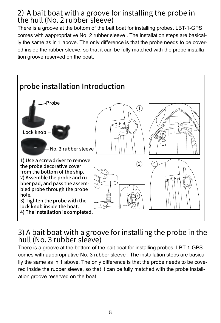#### 2) A bait boat with a groove for installing the probe in the hull (No. 2 rubber sleeve)

There is a groove at the bottom of the bait boat for installing probes. LBT-1-GPS comes with aappropriative No. 2 rubber sleeve . The installation steps are basically the same as in 1 above. The only difference is that the probe needs to be covered inside the rubber sleeve, so that it can be fully matched with the probe installation groove reserved on the boat.



#### 3) A bait boat with a groove for installing the probe in the hull (No. 3 rubber sleeve)

There is a groove at the bottom of the bait boat for installing probes. LBT-1-GPS comes with aappropriative No. 3 rubber sleeve . The installation steps are basically the same as in 1 above. The only difference is that the probe needs to be covered inside the rubber sleeve, so that it can be fully matched with the probe installation groove reserved on the boat.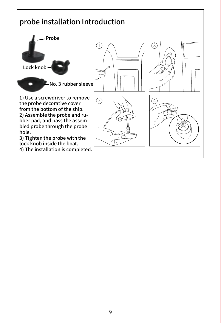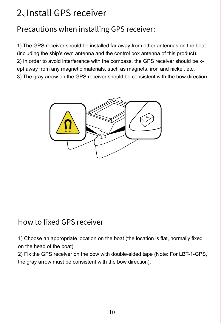## 2、Install GPS receiver

## Precautions when installing GPS receiver:

1) The GPS receiver should be installed far away from other antennas on the boat (including the ship's own antenna and the control box antenna of this product). 2) In order to avoid interference with the compass, the GPS receiver should be kept away from any magnetic materials, such as magnets, iron and nickel, etc. 3) The gray arrow on the GPS receiver should be consistent with the bow direction.



## How to fixed GPS receiver

1) Choose an appropriate location on the boat (the location is flat, normally fixed on the head of the boat)

2) Fix the GPS receiver on the bow with double-sided tape (Note: For LBT-1-GPS, the gray arrow must be consistent with the bow direction).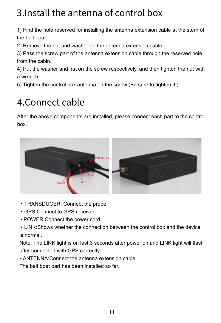## 3.Install the antenna of control box

1) Find the hole reserved for installing the antenna extension cable at the stern of the bait boat.

2) Remove the nut and washer on the antenna extension cable.

3) Pass the screw part of the antenna extension cable through the reserved hole from the cabin.

4) Put the washer and nut on the screw respectively, and then tighten the nut with a wrench.

5) Tighten the control box antenna on the screw (Be sure to tighten it!)

## 4.Connect cable

After the above components are installed, please connect each part to the control box.



- $\cdot$  TRANSDUCER: Connect the probe.
- GPS: Connect to GPS receiver.
- $\cdot$  POWER: Connect the power cord.

• LINK: Shows whether the connection between the control box and the device is normal.

Note: The LINK light is on last 3 seconds after power on and LINK light will flash after connected with GPS correctly.

 $\cdot$  ANTENNA: Connect the antenna extension cable.

The bait boat part has been installed so far.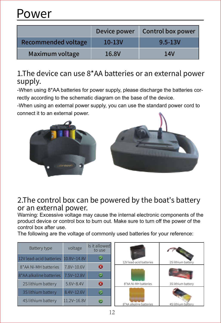## Power

|                     | Device power | Control box power |
|---------------------|--------------|-------------------|
| Recommended voltage | $10 - 13V$   | $9.5 - 13V$       |
| Maximum voltage     | 16.8V        | 14V               |

## 1.The device can use 8\*AA batteries or an external power supply.

-When using 8\*AA batteries for power supply, please discharge the batteries correctly according to the schematic diagram on the base of the device.

-When using an external power supply, you can use the standard power cord to connect it to an external power.



#### 2.The control box can be powered by the boat's battery or an external power.

Warning: Excessive voltage may cause the internal electronic components of the product device or control box to burn out. Make sure to turn off the power of the control box after use.

The following are the voltage of commonly used batteries for your reference:

| Battery type                        | voltage       | Is it allowed<br>to use |                         |                    |
|-------------------------------------|---------------|-------------------------|-------------------------|--------------------|
| 12V lead-acid batteries 10.8V~14.8V |               | $\tilde{\mathbf{v}}$    | 12V lead-acid batteries | 2S lithium battery |
| 8*AA Ni-MH batteries                | 7.8V~10.6V    | ΙX                      |                         |                    |
| 8*AA alkaline batteries             | 7.5V~12.8V    | $\tilde{\phantom{a}}$   |                         |                    |
| 2S lithium battery                  | $5.6V - 8.4V$ | $\infty$                | 8*AA Ni-MH batteries    | 3S lithium battery |
| 3S lithium battery                  | 8.4V~12.6V    |                         |                         |                    |
| 4S lithium battery                  | 11.2V~16.8V   |                         | 8*AA alkaline batteries | 4S lithium battery |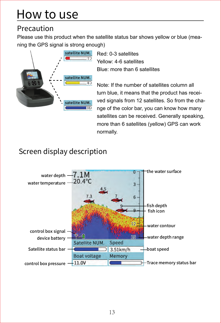## How to use

## Precaution

Please use this product when the satellite status bar shows yellow or blue (meaning the GPS signal is strong enough)



Red: 0-3 satellites Yellow: 4-6 satellites Blue: more than 6 satellites

Note: If the number of satellites column all turn blue, it means that the product has received signals from 12 satellites. So from the change of the color bar, you can know how many satellites can be received. Generally speaking, more than 6 satellites (yellow) GPS can work normally.

## Screen display description

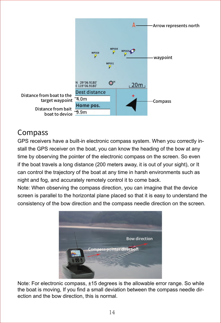

## Compass

GPS receivers have a built-in electronic compass system. When you correctly install the GPS receiver on the boat, you can know the heading of the bow at any time by observing the pointer of the electronic compass on the screen. So even if the boat travels a long distance (200 meters away, it is out of your sight), or It can control the trajectory of the boat at any time in harsh environments such as night and fog, and accurately remotely control it to come back.

Note: When observing the compass direction, you can imagine that the device screen is parallel to the horizontal plane placed so that it is easy to understand the consistency of the bow direction and the compass needle direction on the screen.



Note: For electronic compass, ±15 degrees is the allowable error range. So while the boat is moving, If you find a small deviation between the compass needle direction and the bow direction, this is normal.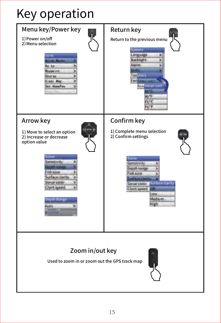## Key operation

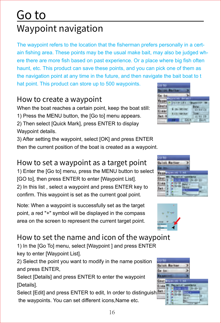## Go to Waypoint navigation

The waypoint refers to the location that the fisherman prefers personally in a certain fishing area. These points may be the usual make bait, may also be judged where there are more fish based on past experience. Or a place where big fish often haunt, etc. This product can save these points, and you can pick one of them as the navigation point at any time in the future, and then navigate the bait boat to t

hat point. This product can store up to 500 waypoints.

## How to create a waypoint

When the boat reaches a certain point, keep the boat still:

- 1) Press the MENU button, the [Go to] menu appears.
- 2) Then select [Quick Mark], press ENTER to display Waypoint details.

3) After setting the waypoint, select [OK] and press ENTER then the current position of the boat is created as a waypoint.

## How to set a waypoint as a target point

1) Enter the [Go to] menu, press the MENU button to select [GO to], then press ENTER to enter [Waypoint List]. 2) In this list , select a waypoint and press ENTER key to confirm. This waypoint is set as the current goal point.

Note: When a waypoint is successfully set as the target point, a red "+" symbol will be displayed in the compass area on the screen to represent the current target point.

## How to set the name and icon of the waypoint

1) In the [Go To] menu, select [Waypoint ] and press ENTER key to enter [Waypoint List].

2) Select the point you want to modify in the name position and press ENTER,

Select [Details] and press ENTER to enter the waypoint [Details].

Select [Edit] and press ENTER to edit, In order to distinguish the waypoints. You can set different icons,Name etc.







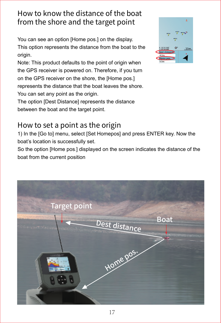## How to know the distance of the boat from the shore and the target point

You can see an option [Home pos.] on the display. This option represents the distance from the boat to the origin.

Note: This product defaults to the point of origin when the GPS receiver is powered on. Therefore, if you turn on the GPS receiver on the shore, the [Home pos.] represents the distance that the boat leaves the shore. You can set any point as the origin.

The option [Dest Distance] represents the distance between the boat and the target point.

## How to set a point as the origin

1) In the [Go to] menu, select [Set Homepos] and press ENTER key. Now the boat's location is successfully set.

So the option [Home pos.] displayed on the screen indicates the distance of the boat from the current position



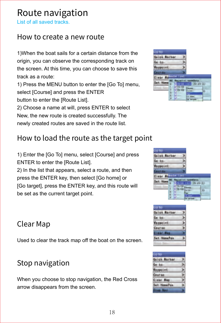## Route navigation

List of all saved tracks.

### How to create a new route

1)When the boat sails for a certain distance from the origin, you can observe the corresponding track on the screen. At this time, you can choose to save this track as a route:

1) Press the MENU button to enter the [Go To] menu, select [Course] and press the ENTER button to enter the [Route List].

2) Choose a name at will, press ENTER to select New, the new route is created successfully. The newly created routes are saved in the route list.

## How to load the route as the target point

1) Enter the [Go To] menu, select [Course] and press ENTER to enter the [Route List].

2) In the list that appears, select a route, and then press the ENTER key, then select [Go home] or [Go target], press the ENTER key, and this route will be set as the current target point.

### Clear Map

Used to clear the track map off the boat on the screen.

## Stop navigation

When you choose to stop navigation, the Red Cross arrow disappears from the screen.

| Goto                   |    |
|------------------------|----|
| <b>Guildik, Racker</b> |    |
| Ee to                  |    |
|                        |    |
| <b>RAFAS</b>           |    |
|                        | ш  |
|                        | 20 |
| ï                      | ō  |





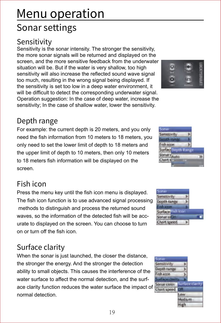## Menu operation Sonar settings

## **Sensitivity**

Sensitivity is the sonar intensity. The stronger the sensitivity, the more sonar signals will be returned and displayed on the screen, and the more sensitive feedback from the underwater situation will be. But if the water is very shallow, too high sensitivity will also increase the reflected sound wave signal too much, resulting in the wrong signal being displayed. If the sensitivity is set too low in a deep water environment, it will be difficult to detect the corresponding underwater signal. Operation suggestion: In the case of deep water, increase the sensitivity; In the case of shallow water, lower the sensitivity.

## Depth range

For example: the current depth is 20 meters, and you only need the fish information from 10 meters to 18 meters, you only need to set the lower limit of depth to 18 meters and the upper limit of depth to 10 meters, then only 10 meters to 18 meters fish information will be displayed on the screen.

## Fish icon

Press the menu key until the fish icon menu is displayed. The fish icon function is to use advanced signal processing methods to distinguish and process the returned sound waves, so the information of the detected fish will be accurate to displayed on the screen. You can choose to turn on or turn off the fish icon.

## Surface clarity

When the sonar is just launched, the closer the distance, the stronger the energy. And the stronger the detection ability to small objects. This causes the interference of the water surface to affect the normal detection, and the surface clarity function reduces the water surface the impact of normal detection.



High





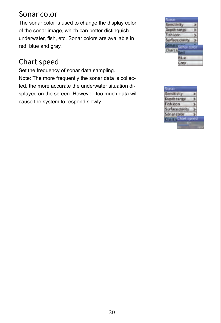### Sonar color

The sonar color is used to change the display color of the sonar image, which can better distinguish underwater, fish, etc. Sonar colors are available in red, blue and gray.

## Chart speed

Set the frequency of sonar data sampling. Note: The more frequently the sonar data is collected, the more accurate the underwater situation displayed on the screen. However, too much data will cause the system to respond slowly.



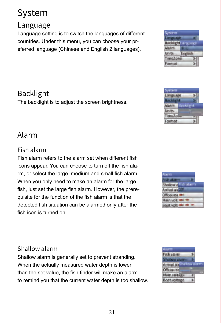## System

## Language

Language setting is to switch the languages of different countries. Under this menu, you can choose your preferred language (Chinese and English 2 languages).

## Backlight

The backlight is to adiust the screen brightness.

## Alarm

#### Fish alarm

Fish alarm refers to the alarm set when different fish icons appear. You can choose to turn off the fish alarm, or select the large, medium and small fish alarm. When you only need to make an alarm for the large fish, just set the large fish alarm. However, the prerequisite for the function of the fish alarm is that the detected fish situation can be alarmed only after the fish icon is turned on.

#### Shallow alarm

Shallow alarm is generally set to prevent stranding. When the actually measured water depth is lower than the set value, the fish finder will make an alarm to remind you that the current water depth is too shallow.







Language **Lockhott** Alarm Breviold

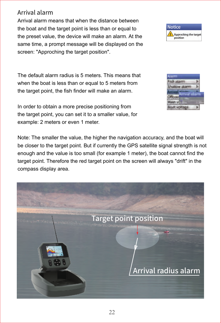Arrival alarm means that when the distance between the boat and the target point is less than or equal to the preset value, the device will make an alarm. At the same time, a prompt message will be displayed on the screen: "Approching the target position".



In order to obtain a more precise positioning from the target point, you can set it to a smaller value, for example: 2 meters or even 1 meter.

Note: The smaller the value, the higher the navigation accuracy, and the boat will be closer to the target point. But if currently the GPS satellite signal strength is not enough and the value is too small (for example 1 meter), the boat cannot find the target point. Therefore the red target point on the screen will always "drift" in the compass display area.





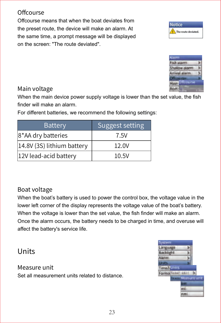#### **Offcourse**

Offcourse means that when the boat deviates from the preset route, the device will make an alarm. At the same time, a prompt message will be displayed on the screen: "The route deviated".

#### Main voltage

When the main device power supply voltage is lower than the set value, the fish finder will make an alarm.

For different batteries, we recommend the following settings:

#### Boat voltage

When the boat's battery is used to power the control box, the voltage value in the lower left corner of the display represents the voltage value of the boat's battery. When the voltage is lower than the set value, the fish finder will make an alarm. Once the alarm occurs, the battery needs to be charged in time, and overuse will affect the battery's service life.

### Units

#### Measure unit

Set all measurement units related to distance.





**Carry Offices rive Boat** 





Alarm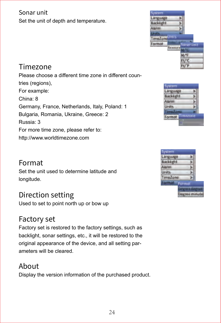#### Sonar unit Set the unit of depth and temperature.



## Timezone

Please choose a different time zone in different countries (regions), For example: China: 8 Germany, France, Netherlands, Italy, Poland: 1 Bulgaria, Romania, Ukraine, Greece: 2 Russia: 3 For more time zone, please refer to: http://www.worldtimezone.com



#### Format

Set the unit used to determine latitude and longitude.

### Direction setting

Used to set to point north up or bow up

### Factory set

Factory set is restored to the factory settings, such as backlight, sonar settings, etc., it will be restored to the original appearance of the device, and all setting parameters will be cleared.

#### About

Display the version information of the purchased product.

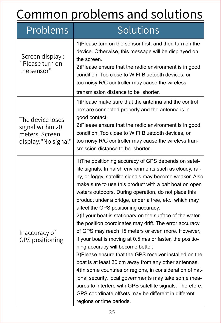## Common problems and solutions

| Problems                                                                      | Solutions                                                                                                                                                                                                                                                                                                                                                                                                                                                                                                                                                                                                                                                                                                                                                                                                                                                                                                                                                                                                                                                             |
|-------------------------------------------------------------------------------|-----------------------------------------------------------------------------------------------------------------------------------------------------------------------------------------------------------------------------------------------------------------------------------------------------------------------------------------------------------------------------------------------------------------------------------------------------------------------------------------------------------------------------------------------------------------------------------------------------------------------------------------------------------------------------------------------------------------------------------------------------------------------------------------------------------------------------------------------------------------------------------------------------------------------------------------------------------------------------------------------------------------------------------------------------------------------|
| Screen display:<br>"Please turn on<br>the sensor"                             | 1) Please turn on the sensor first, and then turn on the<br>device. Otherwise, this message will be displayed on<br>the screen.<br>2) Please ensure that the radio environment is in good<br>condition. Too close to WIFI Bluetooth devices, or<br>too noisy R/C controller may cause the wireless<br>transmission distance to be shorter.                                                                                                                                                                                                                                                                                                                                                                                                                                                                                                                                                                                                                                                                                                                            |
| The device loses<br>signal within 20<br>meters. Screen<br>display:"No signal" | 1) Please make sure that the antenna and the control<br>box are connected properly and the antenna is in<br>good contact.<br>2) Please ensure that the radio environment is in good<br>condition. Too close to WIFI Bluetooth devices, or<br>too noisy R/C controller may cause the wireless tran-<br>smission distance to be shorter.                                                                                                                                                                                                                                                                                                                                                                                                                                                                                                                                                                                                                                                                                                                                |
| Inaccuracy of<br><b>GPS positioning</b>                                       | 1) The positioning accuracy of GPS depends on satel-<br>lite signals. In harsh environments such as cloudy, rai-<br>ny, or foggy, satellite signals may become weaker. Also<br>make sure to use this product with a bait boat on open<br>waters outdoors. During operation, do not place this<br>product under a bridge, under a tree, etc., which may<br>affect the GPS positioning accuracy.<br>2) If your boat is stationary on the surface of the water,<br>the position coordinates may drift. The error accuracy<br>of GPS may reach 15 meters or even more. However,<br>if your boat is moving at 0.5 m/s or faster, the positio-<br>ning accuracy will become better.<br>3)Please ensure that the GPS receiver installed on the<br>boat is at least 30 cm away from any other antennas.<br>4) In some countries or regions, in consideration of nat-<br>ional security, local governments may take some mea-<br>sures to interfere with GPS satellite signals. Therefore,<br>GPS coordinate offsets may be different in different<br>regions or time periods. |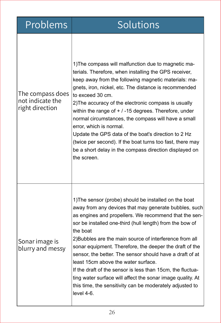|  | Problems |  |
|--|----------|--|

## Solutions

| The compass does<br>not indicate the<br>right direction | 1) The compass will malfunction due to magnetic ma-<br>terials. Therefore, when installing the GPS receiver,<br>keep away from the following magnetic materials: ma-<br>gnets, iron, nickel, etc. The distance is recommended<br>to exceed 30 cm.<br>2) The accuracy of the electronic compass is usually<br>within the range of $+$ / -15 degrees. Therefore, under<br>normal circumstances, the compass will have a small<br>error, which is normal.<br>Update the GPS data of the boat's direction to 2 Hz<br>(twice per second). If the boat turns too fast, there may<br>be a short delay in the compass direction displayed on<br>the screen.                              |
|---------------------------------------------------------|----------------------------------------------------------------------------------------------------------------------------------------------------------------------------------------------------------------------------------------------------------------------------------------------------------------------------------------------------------------------------------------------------------------------------------------------------------------------------------------------------------------------------------------------------------------------------------------------------------------------------------------------------------------------------------|
| Sonar image is<br>blurry and messy                      | 1) The sensor (probe) should be installed on the boat<br>away from any devices that may generate bubbles, such<br>as engines and propellers. We recommend that the sen-<br>sor be installed one-third (hull length) from the bow of<br>the boat<br>2) Bubbles are the main source of interference from all<br>sonar equipment. Therefore, the deeper the draft of the<br>sensor, the better. The sensor should have a draft of at<br>least 15cm above the water surface.<br>If the draft of the sensor is less than 15cm, the fluctua-<br>ting water surface will affect the sonar image quality. At<br>this time, the sensitivity can be moderately adjusted to<br>$level 4-6.$ |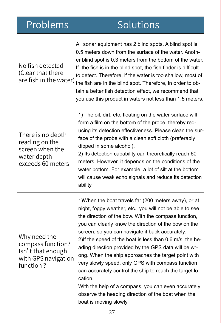| Problems                                                                                   | <b>Solutions</b>                                                                                                                                                                                                                                                                                                                                                                                                                                                                                                                                                                                                                                                                                                                  |
|--------------------------------------------------------------------------------------------|-----------------------------------------------------------------------------------------------------------------------------------------------------------------------------------------------------------------------------------------------------------------------------------------------------------------------------------------------------------------------------------------------------------------------------------------------------------------------------------------------------------------------------------------------------------------------------------------------------------------------------------------------------------------------------------------------------------------------------------|
| No fish detected<br>(Clear that there<br>are fish in the water)                            | All sonar equipment has 2 blind spots. A blind spot is<br>0.5 meters down from the surface of the water. Anoth-<br>er blind spot is 0.3 meters from the bottom of the water.<br>If the fish is in the blind spot, the fish finder is difficult<br>to detect. Therefore, if the water is too shallow, most of<br>the fish are in the blind spot. Therefore, in order to ob-<br>tain a better fish detection effect, we recommend that<br>you use this product in waters not less than 1.5 meters.                                                                                                                                                                                                                                  |
| There is no depth<br>reading on the<br>screen when the<br>water depth<br>exceeds 60 meters | 1) The oil, dirt, etc. floating on the water surface will<br>form a film on the bottom of the probe, thereby red-<br>ucing its detection effectiveness. Please clean the sur-<br>face of the probe with a clean soft cloth (preferably<br>dipped in some alcohol).<br>2) Its detection capability can theoretically reach 60<br>meters. However, it depends on the conditions of the<br>water bottom. For example, a lot of silt at the bottom<br>will cause weak echo signals and reduce its detection<br>ability.                                                                                                                                                                                                               |
| Why need the<br>compass function?<br>Isn't that enough<br>with GPS navigation<br>function? | 1) When the boat travels far (200 meters away), or at<br>night, foggy weather, etc., you will not be able to see<br>the direction of the bow. With the compass function,<br>you can clearly know the direction of the bow on the<br>screen, so you can navigate it back accurately.<br>2) If the speed of the boat is less than 0.6 m/s, the he-<br>ading direction provided by the GPS data will be wr-<br>ong. When the ship approaches the target point with<br>very slowly speed, only GPS with compass function<br>can accurately control the ship to reach the target lo-<br>cation.<br>With the help of a compass, you can even accurately<br>observe the heading direction of the boat when the<br>boat is moving slowly. |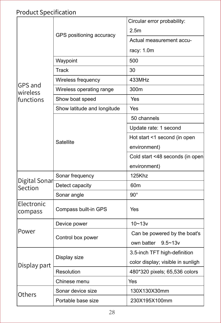## Product Specification

|                          |                             | Circular error probability:       |
|--------------------------|-----------------------------|-----------------------------------|
|                          | GPS positioning accuracy    | 2.5 <sub>m</sub>                  |
|                          |                             | Actual measurement accu-          |
|                          |                             | racy: 1.0m                        |
|                          | Waypoint                    | 500                               |
|                          | Track                       | 30                                |
|                          | Wireless frequency          | 433MHz                            |
| GPS and<br>wireless      | Wireless operating range    | 300m                              |
| functions                | Show boat speed             | Yes                               |
|                          | Show latitude and longitude | Yes                               |
|                          |                             | 50 channels                       |
|                          |                             | Update rate: 1 second             |
|                          |                             | Hot start <1 second (in open      |
|                          | Satellite                   | environment)                      |
|                          |                             | Cold start <48 seconds (in open   |
|                          |                             | environment)                      |
|                          | Sonar frequency             | 125Khz                            |
| Digital Sonar<br>Section | Detect capacity             | 60 <sub>m</sub>                   |
|                          | Sonar angle                 | $90^{\circ}$                      |
| Electronic<br>compass    | Compass built-in GPS        | Yes                               |
|                          | Device power                | $10 - 13v$                        |
| Power                    |                             | Can be powered by the boat's      |
|                          | Control box power           | own batter<br>$9.5 - 13v$         |
|                          |                             | 3.5-inch TFT high-definition      |
| Display part             | Display size                | color display; visible in sunligh |
|                          | Resolution                  | 480*320 pixels; 65,536 colors     |
|                          | Chinese menu                | Yes                               |
| Others                   | Sonar device size           | 130X130X30mm                      |
|                          | Portable base size          | 230X195X100mm                     |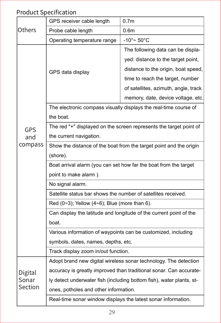## Product Specification

|            | GPS receiver cable length                                            | 0.7 <sub>m</sub>                                                   |  |
|------------|----------------------------------------------------------------------|--------------------------------------------------------------------|--|
| Others     | Probe cable length                                                   | 0.6m                                                               |  |
|            | Operating temperature range                                          | -10°∼ 50°C                                                         |  |
|            |                                                                      | The following data can be displa-                                  |  |
|            |                                                                      | yed: distance to the target point,                                 |  |
|            | GPS data display                                                     | distance to the origin, boat speed,                                |  |
|            |                                                                      | time to reach the target, number                                   |  |
|            |                                                                      | of satellites, azimuth, angle, track                               |  |
|            |                                                                      | memory, date, device voltage, etc.                                 |  |
|            |                                                                      | The electronic compass visually displays the real-time course of   |  |
|            | the boat.                                                            |                                                                    |  |
| <b>GPS</b> |                                                                      | The red "+" displayed on the screen represents the target point of |  |
| and        | the current navigation.                                              |                                                                    |  |
| compass    | Show the distance of the boat from the target point and the origin   |                                                                    |  |
|            | (shore).                                                             |                                                                    |  |
|            | Boat arrival alarm (you can set how far the boat from the target     |                                                                    |  |
|            | point to make alarm).                                                |                                                                    |  |
|            | No signal alarm.                                                     |                                                                    |  |
|            | Satellite status bar shows the number of satellites received.        |                                                                    |  |
|            | Red $(0-3)$ ; Yellow $(4-6)$ ; Blue (more than 6).                   |                                                                    |  |
|            | Can display the latitude and longitude of the current point of the   |                                                                    |  |
|            | boat.                                                                |                                                                    |  |
|            | Various information of waypoints can be customized, including        |                                                                    |  |
|            | symbols, dates, names, depths, etc.                                  |                                                                    |  |
|            | Track display zoom in/out function.                                  |                                                                    |  |
|            | Adopt brand new digital wireless sonar technology. The detection     |                                                                    |  |
| Digital    | accuracy is greatly improved than traditional sonar. Can accurate-   |                                                                    |  |
| Sonar      | ly detect underwater fish (including bottom fish), water plants, st- |                                                                    |  |
| Section    | ones, potholes and other information.                                |                                                                    |  |
|            | Real-time sonar window displays the latest sonar information.        |                                                                    |  |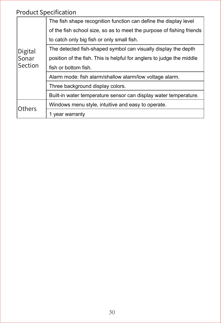### Product Specification

|         | The fish shape recognition function can define the display level      |
|---------|-----------------------------------------------------------------------|
|         | of the fish school size, so as to meet the purpose of fishing friends |
|         | to catch only big fish or only small fish.                            |
| Digital | The detected fish-shaped symbol can visually display the depth        |
| Sonar   | position of the fish. This is helpful for anglers to judge the middle |
| Section | fish or bottom fish.                                                  |
|         | Alarm mode: fish alarm/shallow alarm/low voltage alarm.               |
|         | Three background display colors.                                      |
|         | Built-in water temperature sensor can display water temperature.      |
| Others  | Windows menu style, intuitive and easy to operate.                    |
|         | 1 year warranty                                                       |